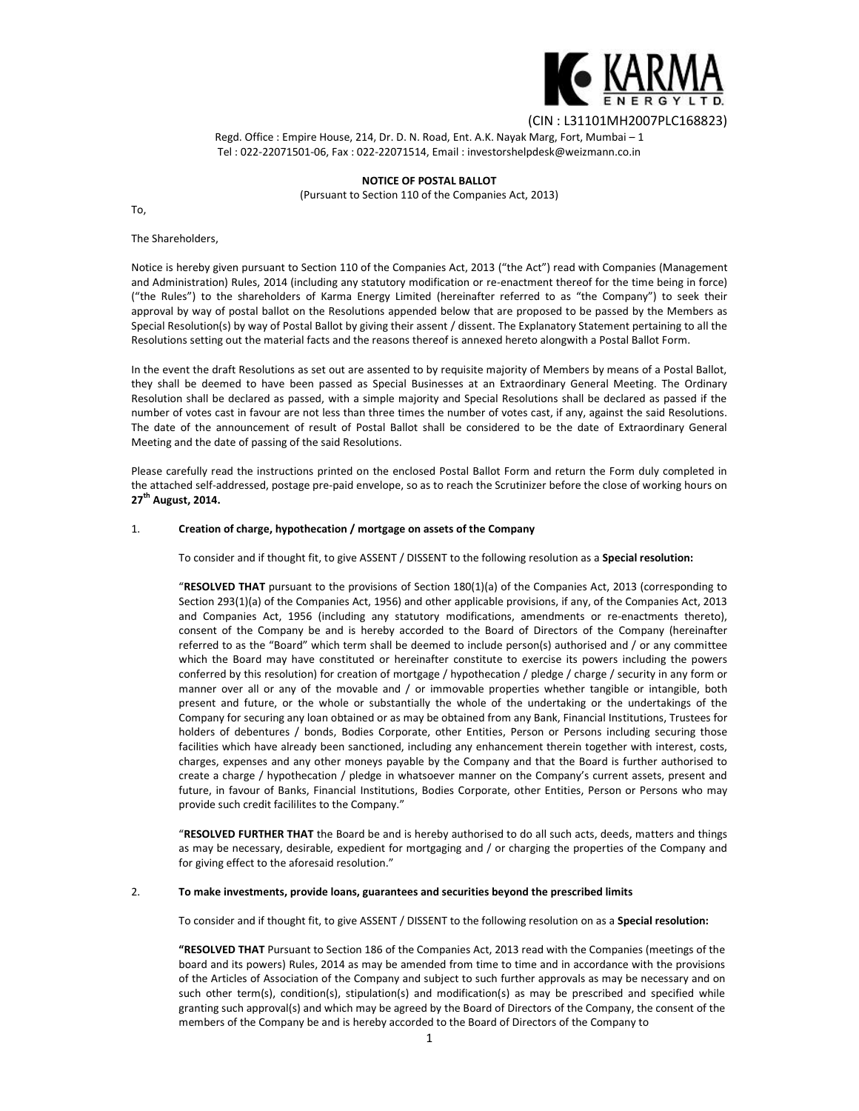

Regd. Office : Empire House, 214, Dr. D. N. Road, Ent. A.K. Nayak Marg, Fort, Mumbai – 1 Tel : 022-22071501-06, Fax : 022-22071514, Email : investorshelpdesk@weizmann.co.in

> **NOTICE OF POSTAL BALLOT** (Pursuant to Section 110 of the Companies Act, 2013)

To,

# The Shareholders,

Notice is hereby given pursuant to Section 110 of the Companies Act, 2013 ("the Act") read with Companies (Management and Administration) Rules, 2014 (including any statutory modification or re-enactment thereof for the time being in force) ("the Rules") to the shareholders of Karma Energy Limited (hereinafter referred to as "the Company") to seek their approval by way of postal ballot on the Resolutions appended below that are proposed to be passed by the Members as Special Resolution(s) by way of Postal Ballot by giving their assent / dissent. The Explanatory Statement pertaining to all the Resolutions setting out the material facts and the reasons thereof is annexed hereto alongwith a Postal Ballot Form.

In the event the draft Resolutions as set out are assented to by requisite majority of Members by means of a Postal Ballot, they shall be deemed to have been passed as Special Businesses at an Extraordinary General Meeting. The Ordinary Resolution shall be declared as passed, with a simple majority and Special Resolutions shall be declared as passed if the number of votes cast in favour are not less than three times the number of votes cast, if any, against the said Resolutions. The date of the announcement of result of Postal Ballot shall be considered to be the date of Extraordinary General Meeting and the date of passing of the said Resolutions.

Please carefully read the instructions printed on the enclosed Postal Ballot Form and return the Form duly completed in the attached self-addressed, postage pre-paid envelope, so as to reach the Scrutinizer before the close of working hours on **27th August, 2014.**

## 1. **Creation of charge, hypothecation / mortgage on assets of the Company**

To consider and if thought fit, to give ASSENT / DISSENT to the following resolution as a **Special resolution:**

"**RESOLVED THAT** pursuant to the provisions of Section 180(1)(a) of the Companies Act, 2013 (corresponding to Section 293(1)(a) of the Companies Act, 1956) and other applicable provisions, if any, of the Companies Act, 2013 and Companies Act, 1956 (including any statutory modifications, amendments or re-enactments thereto), consent of the Company be and is hereby accorded to the Board of Directors of the Company (hereinafter referred to as the "Board" which term shall be deemed to include person(s) authorised and / or any committee which the Board may have constituted or hereinafter constitute to exercise its powers including the powers conferred by this resolution) for creation of mortgage / hypothecation / pledge / charge / security in any form or manner over all or any of the movable and / or immovable properties whether tangible or intangible, both present and future, or the whole or substantially the whole of the undertaking or the undertakings of the Company for securing any loan obtained or as may be obtained from any Bank, Financial Institutions, Trustees for holders of debentures / bonds, Bodies Corporate, other Entities, Person or Persons including securing those facilities which have already been sanctioned, including any enhancement therein together with interest, costs, charges, expenses and any other moneys payable by the Company and that the Board is further authorised to create a charge / hypothecation / pledge in whatsoever manner on the Company's current assets, present and future, in favour of Banks, Financial Institutions, Bodies Corporate, other Entities, Person or Persons who may provide such credit facililites to the Company."

"**RESOLVED FURTHER THAT** the Board be and is hereby authorised to do all such acts, deeds, matters and things as may be necessary, desirable, expedient for mortgaging and / or charging the properties of the Company and for giving effect to the aforesaid resolution."

## 2. **To make investments, provide loans, guarantees and securities beyond the prescribed limits**

To consider and if thought fit, to give ASSENT / DISSENT to the following resolution on as a **Special resolution:**

**"RESOLVED THAT** Pursuant to Section 186 of the Companies Act, 2013 read with the Companies (meetings of the board and its powers) Rules, 2014 as may be amended from time to time and in accordance with the provisions of the Articles of Association of the Company and subject to such further approvals as may be necessary and on such other term(s), condition(s), stipulation(s) and modification(s) as may be prescribed and specified while granting such approval(s) and which may be agreed by the Board of Directors of the Company, the consent of the members of the Company be and is hereby accorded to the Board of Directors of the Company to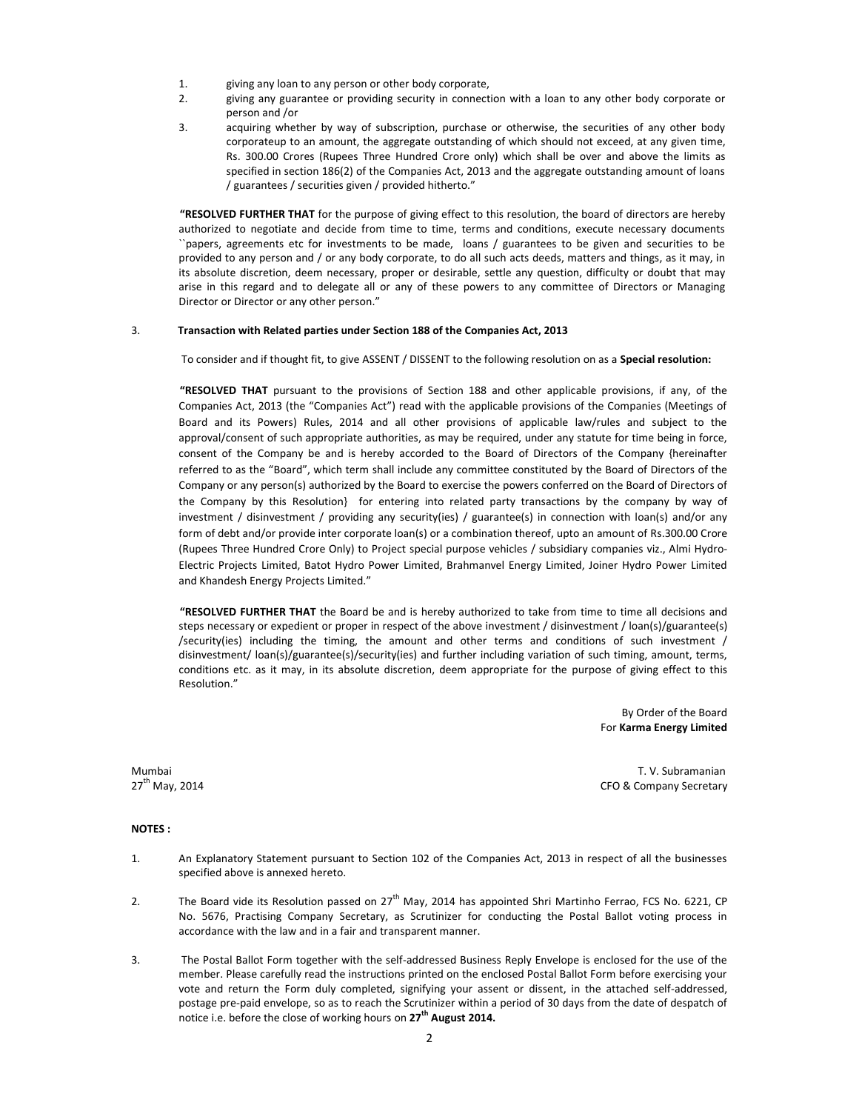- 1. giving any loan to any person or other body corporate,
- 2. giving any guarantee or providing security in connection with a loan to any other body corporate or person and /or
- 3. acquiring whether by way of subscription, purchase or otherwise, the securities of any other body corporateup to an amount, the aggregate outstanding of which should not exceed, at any given time, Rs. 300.00 Crores (Rupees Three Hundred Crore only) which shall be over and above the limits as specified in section 186(2) of the Companies Act, 2013 and the aggregate outstanding amount of loans / guarantees / securities given / provided hitherto."

**"RESOLVED FURTHER THAT** for the purpose of giving effect to this resolution, the board of directors are hereby authorized to negotiate and decide from time to time, terms and conditions, execute necessary documents ``papers, agreements etc for investments to be made, loans / guarantees to be given and securities to be provided to any person and / or any body corporate, to do all such acts deeds, matters and things, as it may, in its absolute discretion, deem necessary, proper or desirable, settle any question, difficulty or doubt that may arise in this regard and to delegate all or any of these powers to any committee of Directors or Managing Director or Director or any other person."

# 3. **Transaction with Related parties under Section 188 of the Companies Act, 2013**

To consider and if thought fit, to give ASSENT / DISSENT to the following resolution on as a **Special resolution:**

**"RESOLVED THAT** pursuant to the provisions of Section 188 and other applicable provisions, if any, of the Companies Act, 2013 (the "Companies Act") read with the applicable provisions of the Companies (Meetings of Board and its Powers) Rules, 2014 and all other provisions of applicable law/rules and subject to the approval/consent of such appropriate authorities, as may be required, under any statute for time being in force, consent of the Company be and is hereby accorded to the Board of Directors of the Company {hereinafter referred to as the "Board", which term shall include any committee constituted by the Board of Directors of the Company or any person(s) authorized by the Board to exercise the powers conferred on the Board of Directors of the Company by this Resolution} for entering into related party transactions by the company by way of investment / disinvestment / providing any security(ies) / guarantee(s) in connection with loan(s) and/or any form of debt and/or provide inter corporate loan(s) or a combination thereof, upto an amount of Rs.300.00 Crore (Rupees Three Hundred Crore Only) to Project special purpose vehicles / subsidiary companies viz., Almi Hydro- Electric Projects Limited, Batot Hydro Power Limited, Brahmanvel Energy Limited, Joiner Hydro Power Limited and Khandesh Energy Projects Limited."

**"RESOLVED FURTHER THAT** the Board be and is hereby authorized to take from time to time all decisions and steps necessary or expedient or proper in respect of the above investment / disinvestment / loan(s)/guarantee(s) /security(ies) including the timing, the amount and other terms and conditions of such investment / disinvestment/ loan(s)/guarantee(s)/security(ies) and further including variation of such timing, amount, terms, conditions etc. as it may, in its absolute discretion, deem appropriate for the purpose of giving effect to this Resolution."

> By Order of the Board For **Karma Energy Limited**

Mumbai T. V. Subramanian 27<sup>th</sup> May, 2014 **CFO & Company Secretary** CFO & Company Secretary

# **NOTES :**

- 1. An Explanatory Statement pursuant to Section 102 of the Companies Act, 2013 in respect of all the businesses specified above is annexed hereto.
- 2. The Board vide its Resolution passed on 27<sup>th</sup> May, 2014 has appointed Shri Martinho Ferrao, FCS No. 6221, CP No. 5676, Practising Company Secretary, as Scrutinizer for conducting the Postal Ballot voting process in accordance with the law and in a fair and transparent manner.
- 3. The Postal Ballot Form together with the self-addressed Business Reply Envelope is enclosed for the use of the member. Please carefully read the instructions printed on the enclosed Postal Ballot Form before exercising your vote and return the Form duly completed, signifying your assent or dissent, in the attached self-addressed, postage pre-paid envelope, so as to reach the Scrutinizer within a period of 30 days from the date of despatch of notice i.e. before the close of working hours on **27th August 2014.**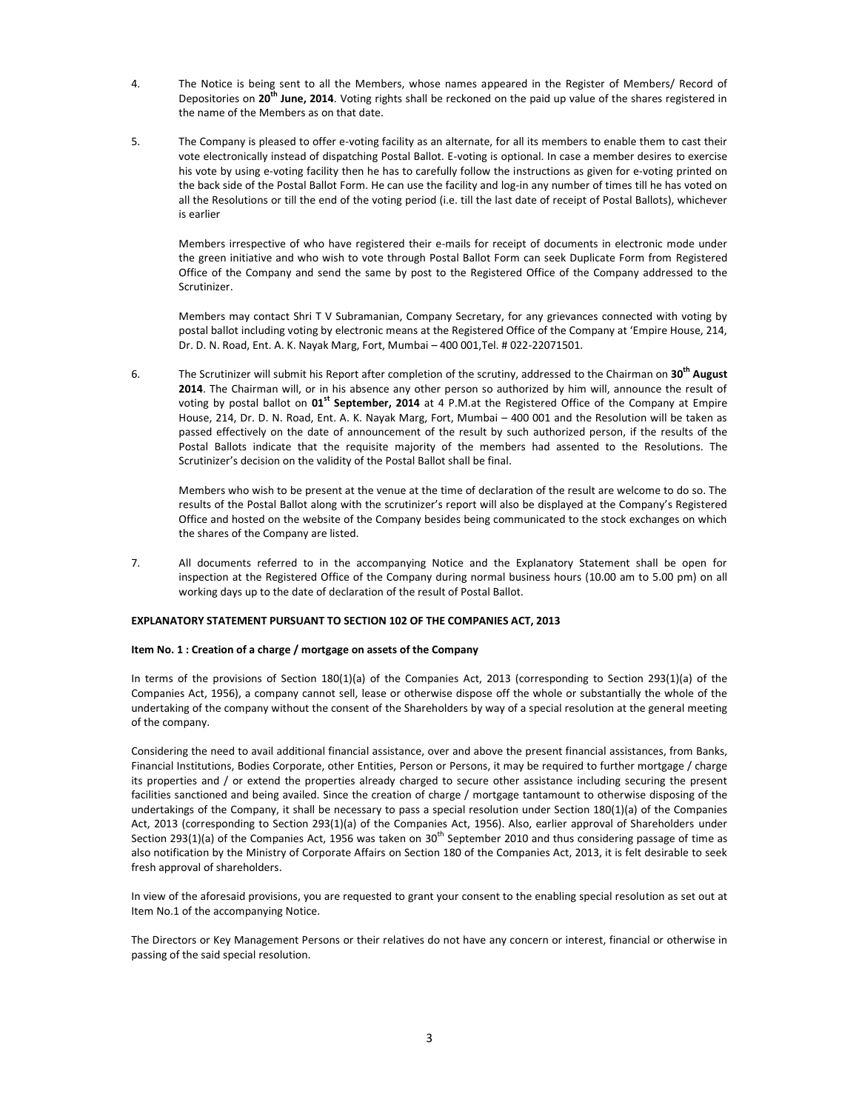- 4. The Notice is being sent to all the Members, whose names appeared in the Register of Members/ Record of Depositories on **20th June, 2014**. Voting rights shall be reckoned on the paid up value of the shares registered in the name of the Members as on that date.
- 5. The Company is pleased to offer e-voting facility as an alternate, for all its members to enable them to cast their vote electronically instead of dispatching Postal Ballot. E-voting is optional. In case a member desires to exercise his vote by using e-voting facility then he has to carefully follow the instructions as given for e-voting printed on the back side of the Postal Ballot Form. He can use the facility and log-in any number of times till he has voted on all the Resolutions or till the end of the voting period (i.e. till the last date of receipt of Postal Ballots), whichever is earlier

Members irrespective of who have registered their e-mails for receipt of documents in electronic mode under the green initiative and who wish to vote through Postal Ballot Form can seek Duplicate Form from Registered Office of the Company and send the same by post to the Registered Office of the Company addressed to the Scrutinizer.

Members may contact Shri T V Subramanian, Company Secretary, for any grievances connected with voting by postal ballot including voting by electronic means at the Registered Office of the Company at 'Empire House, 214, Dr. D. N. Road, Ent. A. K. Nayak Marg, Fort, Mumbai – 400 001,Tel. # 022-22071501.

6. The Scrutinizer will submit his Report after completion of the scrutiny, addressed to the Chairman on **30th August 2014**. The Chairman will, or in his absence any other person so authorized by him will, announce the result of voting by postal ballot on **01st September, 2014** at 4 P.M.at the Registered Office of the Company at Empire House, 214, Dr. D. N. Road, Ent. A. K. Nayak Marg, Fort, Mumbai – 400 001 and the Resolution will be taken as passed effectively on the date of announcement of the result by such authorized person, if the results of the Postal Ballots indicate that the requisite majority of the members had assented to the Resolutions. The Scrutinizer's decision on the validity of the Postal Ballot shall be final.

Members who wish to be present at the venue at the time of declaration of the result are welcome to do so. The results of the Postal Ballot along with the scrutinizer's report will also be displayed at the Company's Registered Office and hosted on the website of the Company besides being communicated to the stock exchanges on which the shares of the Company are listed.

7. All documents referred to in the accompanying Notice and the Explanatory Statement shall be open for inspection at the Registered Office of the Company during normal business hours (10.00 am to 5.00 pm) on all working days up to the date of declaration of the result of Postal Ballot.

# **EXPLANATORY STATEMENT PURSUANT TO SECTION 102 OF THE COMPANIES ACT, 2013**

## **Item No. 1 : Creation of a charge / mortgage on assets of the Company**

In terms of the provisions of Section 180(1)(a) of the Companies Act, 2013 (corresponding to Section 293(1)(a) of the Companies Act, 1956), a company cannot sell, lease or otherwise dispose off the whole or substantially the whole of the undertaking of the company without the consent of the Shareholders by way of a special resolution at the general meeting of the company.

Considering the need to avail additional financial assistance, over and above the present financial assistances, from Banks, Financial Institutions, Bodies Corporate, other Entities, Person or Persons, it may be required to further mortgage / charge its properties and / or extend the properties already charged to secure other assistance including securing the present facilities sanctioned and being availed. Since the creation of charge / mortgage tantamount to otherwise disposing of the undertakings of the Company, it shall be necessary to pass a special resolution under Section 180(1)(a) of the Companies Act, 2013 (corresponding to Section 293(1)(a) of the Companies Act, 1956). Also, earlier approval of Shareholders under Section 293(1)(a) of the Companies Act, 1956 was taken on 30<sup>th</sup> September 2010 and thus considering passage of time as also notification by the Ministry of Corporate Affairs on Section 180 of the Companies Act, 2013, it is felt desirable to seek fresh approval of shareholders.

In view of the aforesaid provisions, you are requested to grant your consent to the enabling special resolution as set out at Item No.1 of the accompanying Notice.

The Directors or Key Management Persons or their relatives do not have any concern or interest, financial or otherwise in passing of the said special resolution.